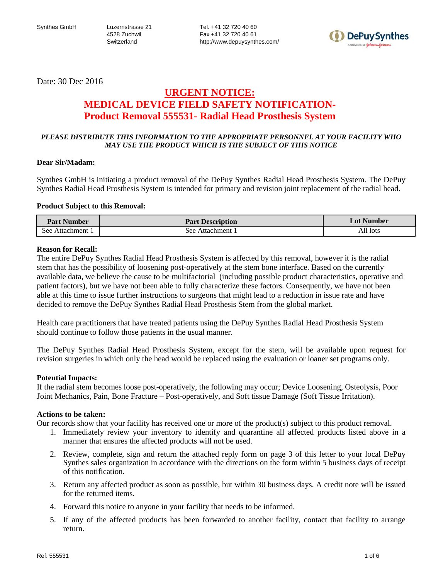Tel. +41 32 720 40 60 Fax +41 32 720 40 61 http://www.depuysynthes.com/



Date: 30 Dec 2016

## **URGENT NOTICE: MEDICAL DEVICE FIELD SAFETY NOTIFICATION-Product Removal 555531- Radial Head Prosthesis System**

## *PLEASE DISTRIBUTE THIS INFORMATION TO THE APPROPRIATE PERSONNEL AT YOUR FACILITY WHO MAY USE THE PRODUCT WHICH IS THE SUBJECT OF THIS NOTICE*

### **Dear Sir/Madam:**

Synthes GmbH is initiating a product removal of the DePuy Synthes Radial Head Prosthesis System. The DePuy Synthes Radial Head Prosthesis System is intended for primary and revision joint replacement of the radial head.

## **Product Subject to this Removal:**

| <b>Part Number</b>    | <b>Part Description</b> | <b>Lot Number</b> |
|-----------------------|-------------------------|-------------------|
| See -<br>Attachment 1 | see<br>Attachment.      | All lots          |

### **Reason for Recall:**

The entire DePuy Synthes Radial Head Prosthesis System is affected by this removal, however it is the radial stem that has the possibility of loosening post-operatively at the stem bone interface. Based on the currently available data, we believe the cause to be multifactorial (including possible product characteristics, operative and patient factors), but we have not been able to fully characterize these factors. Consequently, we have not been able at this time to issue further instructions to surgeons that might lead to a reduction in issue rate and have decided to remove the DePuy Synthes Radial Head Prosthesis Stem from the global market.

Health care practitioners that have treated patients using the DePuy Synthes Radial Head Prosthesis System should continue to follow those patients in the usual manner.

The DePuy Synthes Radial Head Prosthesis System, except for the stem, will be available upon request for revision surgeries in which only the head would be replaced using the evaluation or loaner set programs only.

### **Potential Impacts:**

If the radial stem becomes loose post-operatively, the following may occur; Device Loosening, Osteolysis, Poor Joint Mechanics, Pain, Bone Fracture – Post-operatively, and Soft tissue Damage (Soft Tissue Irritation).

### **Actions to be taken:**

Our records show that your facility has received one or more of the product(s) subject to this product removal.

- 1. Immediately review your inventory to identify and quarantine all affected products listed above in a manner that ensures the affected products will not be used.
- 2. Review, complete, sign and return the attached reply form on page 3 of this letter to your local DePuy Synthes sales organization in accordance with the directions on the form within 5 business days of receipt of this notification.
- 3. Return any affected product as soon as possible, but within 30 business days. A credit note will be issued for the returned items.
- 4. Forward this notice to anyone in your facility that needs to be informed.
- 5. If any of the affected products has been forwarded to another facility, contact that facility to arrange return.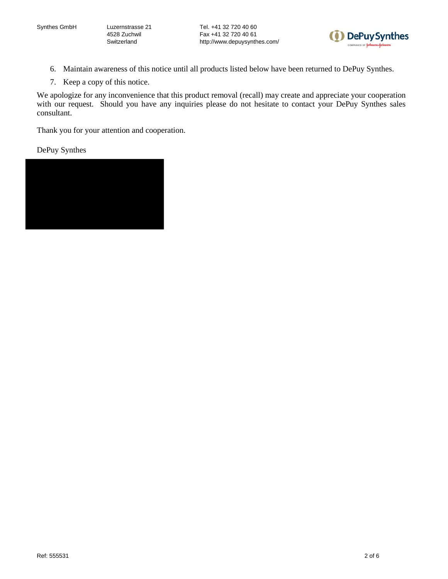Tel. +41 32 720 40 60 Fax +41 32 720 40 61 http://www.depuysynthes.com/



- 6. Maintain awareness of this notice until all products listed below have been returned to DePuy Synthes.
- 7. Keep a copy of this notice.

We apologize for any inconvenience that this product removal (recall) may create and appreciate your cooperation with our request. Should you have any inquiries please do not hesitate to contact your DePuy Synthes sales consultant.

Thank you for your attention and cooperation.

DePuy Synthes

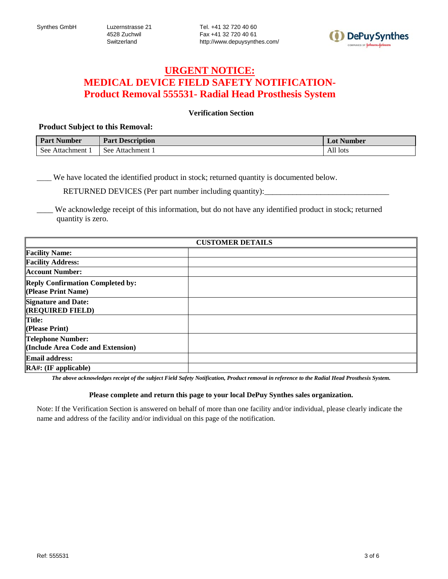

# **URGENT NOTICE: MEDICAL DEVICE FIELD SAFETY NOTIFICATION-Product Removal 555531- Radial Head Prosthesis System**

## **Verification Section**

### **Product Subject to this Removal:**

| <b>Part Number</b> | <b>Part Description</b> | <b>Lot Number</b> |
|--------------------|-------------------------|-------------------|
| See<br>Attachment  | See<br>Attachment       | All lots          |

\_\_\_\_ We have located the identified product in stock; returned quantity is documented below.

RETURNED DEVICES (Per part number including quantity):

We acknowledge receipt of this information, but do not have any identified product in stock; returned quantity is zero.

|                                                                | <b>CUSTOMER DETAILS</b> |
|----------------------------------------------------------------|-------------------------|
| <b>Facility Name:</b>                                          |                         |
| <b>Facility Address:</b>                                       |                         |
| <b>Account Number:</b>                                         |                         |
| <b>Reply Confirmation Completed by:</b><br>(Please Print Name) |                         |
| <b>Signature and Date:</b><br><b>(REQUIRED FIELD)</b>          |                         |
| <b>Title:</b><br>(Please Print)                                |                         |
| Telephone Number:<br>(Include Area Code and Extension)         |                         |
| <b>Email address:</b>                                          |                         |
| $RA$ #: (IF applicable)                                        |                         |

*The above acknowledges receipt of the subject Field Safety Notification, Product removal in reference to the Radial Head Prosthesis System.*

#### **Please complete and return this page to your local DePuy Synthes sales organization.**

Note: If the Verification Section is answered on behalf of more than one facility and/or individual, please clearly indicate the name and address of the facility and/or individual on this page of the notification.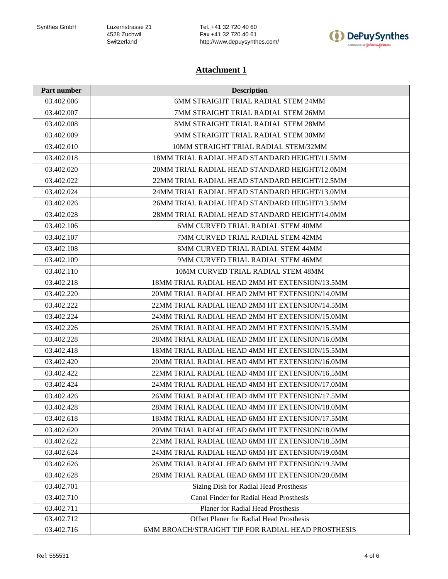Tel. +41 32 720 40 60 Fax +41 32 720 40 61 http://www.depuysynthes.com/



## **Attachment 1**

| Part number | <b>Description</b>                                 |
|-------------|----------------------------------------------------|
| 03.402.006  | 6MM STRAIGHT TRIAL RADIAL STEM 24MM                |
| 03.402.007  | 7MM STRAIGHT TRIAL RADIAL STEM 26MM                |
| 03.402.008  | 8MM STRAIGHT TRIAL RADIAL STEM 28MM                |
| 03.402.009  | 9MM STRAIGHT TRIAL RADIAL STEM 30MM                |
| 03.402.010  | 10MM STRAIGHT TRIAL RADIAL STEM/32MM               |
| 03.402.018  | 18MM TRIAL RADIAL HEAD STANDARD HEIGHT/11.5MM      |
| 03.402.020  | 20MM TRIAL RADIAL HEAD STANDARD HEIGHT/12.0MM      |
| 03.402.022  | 22MM TRIAL RADIAL HEAD STANDARD HEIGHT/12.5MM      |
| 03.402.024  | 24MM TRIAL RADIAL HEAD STANDARD HEIGHT/13.0MM      |
| 03.402.026  | 26MM TRIAL RADIAL HEAD STANDARD HEIGHT/13.5MM      |
| 03.402.028  | 28MM TRIAL RADIAL HEAD STANDARD HEIGHT/14.0MM      |
| 03.402.106  | 6MM CURVED TRIAL RADIAL STEM 40MM                  |
| 03.402.107  | 7MM CURVED TRIAL RADIAL STEM 42MM                  |
| 03.402.108  | 8MM CURVED TRIAL RADIAL STEM 44MM                  |
| 03.402.109  | 9MM CURVED TRIAL RADIAL STEM 46MM                  |
| 03.402.110  | 10MM CURVED TRIAL RADIAL STEM 48MM                 |
| 03.402.218  | 18MM TRIAL RADIAL HEAD 2MM HT EXTENSION/13.5MM     |
| 03.402.220  | 20MM TRIAL RADIAL HEAD 2MM HT EXTENSION/14.0MM     |
| 03.402.222  | 22MM TRIAL RADIAL HEAD 2MM HT EXTENSION/14.5MM     |
| 03.402.224  | 24MM TRIAL RADIAL HEAD 2MM HT EXTENSION/15.0MM     |
| 03.402.226  | 26MM TRIAL RADIAL HEAD 2MM HT EXTENSION/15.5MM     |
| 03.402.228  | 28MM TRIAL RADIAL HEAD 2MM HT EXTENSION/16.0MM     |
| 03.402.418  | 18MM TRIAL RADIAL HEAD 4MM HT EXTENSION/15.5MM     |
| 03.402.420  | 20MM TRIAL RADIAL HEAD 4MM HT EXTENSION/16.0MM     |
| 03.402.422  | 22MM TRIAL RADIAL HEAD 4MM HT EXTENSION/16.5MM     |
| 03.402.424  | 24MM TRIAL RADIAL HEAD 4MM HT EXTENSION/17.0MM     |
| 03.402.426  | 26MM TRIAL RADIAL HEAD 4MM HT EXTENSION/17.5MM     |
| 03.402.428  | 28MM TRIAL RADIAL HEAD 4MM HT EXTENSION/18.0MM     |
| 03.402.618  | 18MM TRIAL RADIAL HEAD 6MM HT EXTENSION/17.5MM     |
| 03.402.620  | 20MM TRIAL RADIAL HEAD 6MM HT EXTENSION/18.0MM     |
| 03.402.622  | 22MM TRIAL RADIAL HEAD 6MM HT EXTENSION/18.5MM     |
| 03.402.624  | 24MM TRIAL RADIAL HEAD 6MM HT EXTENSION/19.0MM     |
| 03.402.626  | 26MM TRIAL RADIAL HEAD 6MM HT EXTENSION/19.5MM     |
| 03.402.628  | 28MM TRIAL RADIAL HEAD 6MM HT EXTENSION/20.0MM     |
| 03.402.701  | Sizing Dish for Radial Head Prosthesis             |
| 03.402.710  | Canal Finder for Radial Head Prosthesis            |
| 03.402.711  | <b>Planer for Radial Head Prosthesis</b>           |
| 03.402.712  | Offset Planer for Radial Head Prosthesis           |
| 03.402.716  | 6MM BROACH/STRAIGHT TIP FOR RADIAL HEAD PROSTHESIS |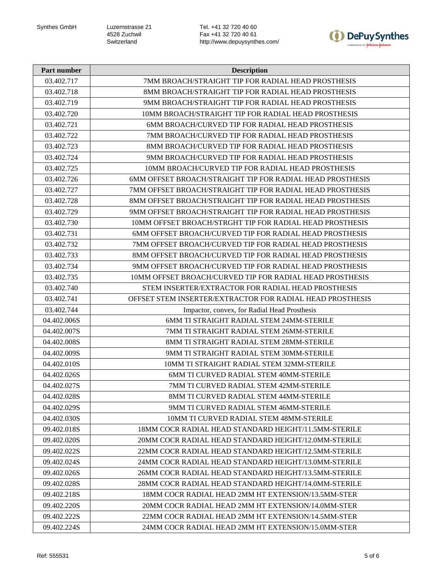Tel. +41 32 720 40 60 Fax +41 32 720 40 61 http://www.depuysynthes.com/



| Part number | <b>Description</b>                                               |
|-------------|------------------------------------------------------------------|
| 03.402.717  | 7MM BROACH/STRAIGHT TIP FOR RADIAL HEAD PROSTHESIS               |
| 03.402.718  | 8MM BROACH/STRAIGHT TIP FOR RADIAL HEAD PROSTHESIS               |
| 03.402.719  | 9MM BROACH/STRAIGHT TIP FOR RADIAL HEAD PROSTHESIS               |
| 03.402.720  | 10MM BROACH/STRAIGHT TIP FOR RADIAL HEAD PROSTHESIS              |
| 03.402.721  | 6MM BROACH/CURVED TIP FOR RADIAL HEAD PROSTHESIS                 |
| 03.402.722  | 7MM BROACH/CURVED TIP FOR RADIAL HEAD PROSTHESIS                 |
| 03.402.723  | 8MM BROACH/CURVED TIP FOR RADIAL HEAD PROSTHESIS                 |
| 03.402.724  | 9MM BROACH/CURVED TIP FOR RADIAL HEAD PROSTHESIS                 |
| 03.402.725  | 10MM BROACH/CURVED TIP FOR RADIAL HEAD PROSTHESIS                |
| 03.402.726  | 6MM OFFSET BROACH/STRAIGHT TIP FOR RADIAL HEAD PROSTHESIS        |
| 03.402.727  | 7MM OFFSET BROACH/STRAIGHT TIP FOR RADIAL HEAD PROSTHESIS        |
| 03.402.728  | <b>8MM OFFSET BROACH/STRAIGHT TIP FOR RADIAL HEAD PROSTHESIS</b> |
| 03.402.729  | 9MM OFFSET BROACH/STRAIGHT TIP FOR RADIAL HEAD PROSTHESIS        |
| 03.402.730  | 10MM OFFSET BROACH/STRGHT TIP FOR RADIAL HEAD PROSTHESIS         |
| 03.402.731  | 6MM OFFSET BROACH/CURVED TIP FOR RADIAL HEAD PROSTHESIS          |
| 03.402.732  | <b>7MM OFFSET BROACH/CURVED TIP FOR RADIAL HEAD PROSTHESIS</b>   |
| 03.402.733  | 8MM OFFSET BROACH/CURVED TIP FOR RADIAL HEAD PROSTHESIS          |
| 03.402.734  | 9MM OFFSET BROACH/CURVED TIP FOR RADIAL HEAD PROSTHESIS          |
| 03.402.735  | 10MM OFFSET BROACH/CURVED TIP FOR RADIAL HEAD PROSTHESIS         |
| 03.402.740  | STEM INSERTER/EXTRACTOR FOR RADIAL HEAD PROSTHESIS               |
| 03.402.741  | OFFSET STEM INSERTER/EXTRACTOR FOR RADIAL HEAD PROSTHESIS        |
| 03.402.744  | Impactor, convex, for Radial Head Prosthesis                     |
| 04.402.006S | 6MM TI STRAIGHT RADIAL STEM 24MM-STERILE                         |
| 04.402.007S | 7MM TI STRAIGHT RADIAL STEM 26MM-STERILE                         |
| 04.402.008S | 8MM TI STRAIGHT RADIAL STEM 28MM-STERILE                         |
| 04.402.009S | 9MM TI STRAIGHT RADIAL STEM 30MM-STERILE                         |
| 04.402.010S | 10MM TI STRAIGHT RADIAL STEM 32MM-STERILE                        |
| 04.402.026S | 6MM TI CURVED RADIAL STEM 40MM-STERILE                           |
| 04.402.027S | 7MM TI CURVED RADIAL STEM 42MM-STERILE                           |
| 04.402.028S | 8MM TI CURVED RADIAL STEM 44MM-STERILE                           |
| 04.402.029S | 9MM TI CURVED RADIAL STEM 46MM-STERILE                           |
| 04.402.030S | 10MM TI CURVED RADIAL STEM 48MM-STERILE                          |
| 09.402.018S | 18MM COCR RADIAL HEAD STANDARD HEIGHT/11.5MM-STERILE             |
| 09.402.020S | 20MM COCR RADIAL HEAD STANDARD HEIGHT/12.0MM-STERILE             |
| 09.402.022S | 22MM COCR RADIAL HEAD STANDARD HEIGHT/12.5MM-STERILE             |
| 09.402.024S | 24MM COCR RADIAL HEAD STANDARD HEIGHT/13.0MM-STERILE             |
| 09.402.026S | 26MM COCR RADIAL HEAD STANDARD HEIGHT/13.5MM-STERILE             |
| 09.402.028S | 28MM COCR RADIAL HEAD STANDARD HEIGHT/14.0MM-STERILE             |
| 09.402.218S | 18MM COCR RADIAL HEAD 2MM HT EXTENSION/13.5MM-STER               |
| 09.402.220S | 20MM COCR RADIAL HEAD 2MM HT EXTENSION/14.0MM-STER               |
| 09.402.222S | 22MM COCR RADIAL HEAD 2MM HT EXTENSION/14.5MM-STER               |
| 09.402.224S | 24MM COCR RADIAL HEAD 2MM HT EXTENSION/15.0MM-STER               |